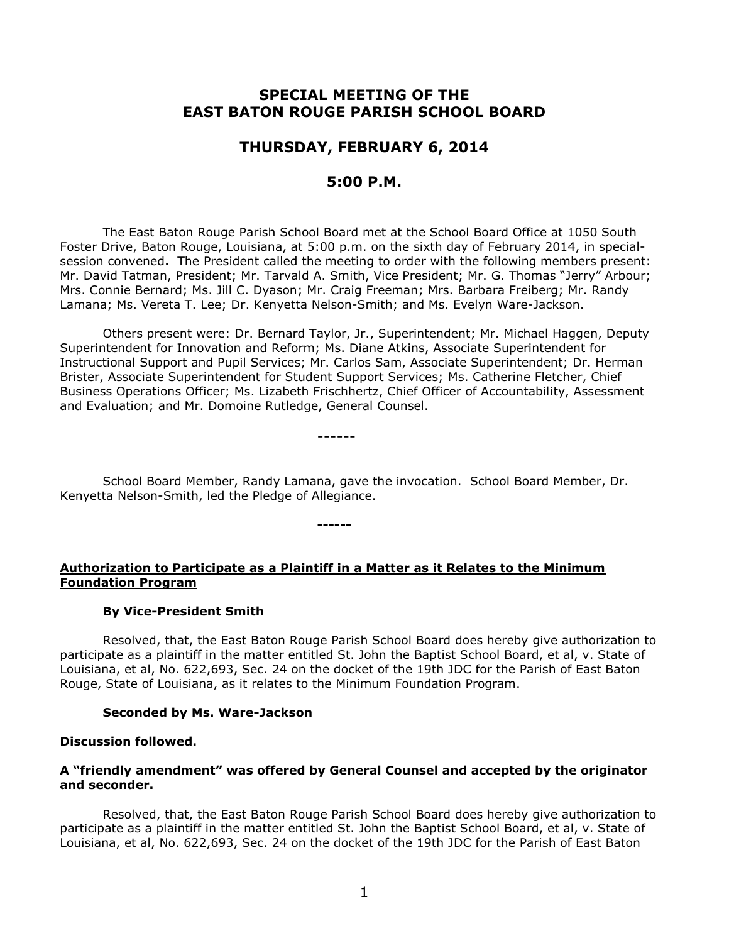# **SPECIAL MEETING OF THE EAST BATON ROUGE PARISH SCHOOL BOARD**

# **THURSDAY, FEBRUARY 6, 2014**

## **5:00 P.M.**

The East Baton Rouge Parish School Board met at the School Board Office at 1050 South Foster Drive, Baton Rouge, Louisiana, at 5:00 p.m. on the sixth day of February 2014, in specialsession convened**.** The President called the meeting to order with the following members present: Mr. David Tatman, President; Mr. Tarvald A. Smith, Vice President; Mr. G. Thomas "Jerry" Arbour; Mrs. Connie Bernard; Ms. Jill C. Dyason; Mr. Craig Freeman; Mrs. Barbara Freiberg; Mr. Randy Lamana; Ms. Vereta T. Lee; Dr. Kenyetta Nelson-Smith; and Ms. Evelyn Ware-Jackson.

Others present were: Dr. Bernard Taylor, Jr., Superintendent; Mr. Michael Haggen, Deputy Superintendent for Innovation and Reform; Ms. Diane Atkins, Associate Superintendent for Instructional Support and Pupil Services; Mr. Carlos Sam, Associate Superintendent; Dr. Herman Brister, Associate Superintendent for Student Support Services; Ms. Catherine Fletcher, Chief Business Operations Officer; Ms. Lizabeth Frischhertz, Chief Officer of Accountability, Assessment and Evaluation; and Mr. Domoine Rutledge, General Counsel.

------

School Board Member, Randy Lamana, gave the invocation. School Board Member, Dr. Kenyetta Nelson-Smith, led the Pledge of Allegiance.

## **Authorization to Participate as a Plaintiff in a Matter as it Relates to the Minimum Foundation Program**

**------**

### **By Vice-President Smith**

Resolved, that, the East Baton Rouge Parish School Board does hereby give authorization to participate as a plaintiff in the matter entitled St. John the Baptist School Board, et al, v. State of Louisiana, et al, No. 622,693, Sec. 24 on the docket of the 19th JDC for the Parish of East Baton Rouge, State of Louisiana, as it relates to the Minimum Foundation Program.

#### **Seconded by Ms. Ware-Jackson**

#### **Discussion followed.**

### **A "friendly amendment" was offered by General Counsel and accepted by the originator and seconder.**

Resolved, that, the East Baton Rouge Parish School Board does hereby give authorization to participate as a plaintiff in the matter entitled St. John the Baptist School Board, et al, v. State of Louisiana, et al, No. 622,693, Sec. 24 on the docket of the 19th JDC for the Parish of East Baton